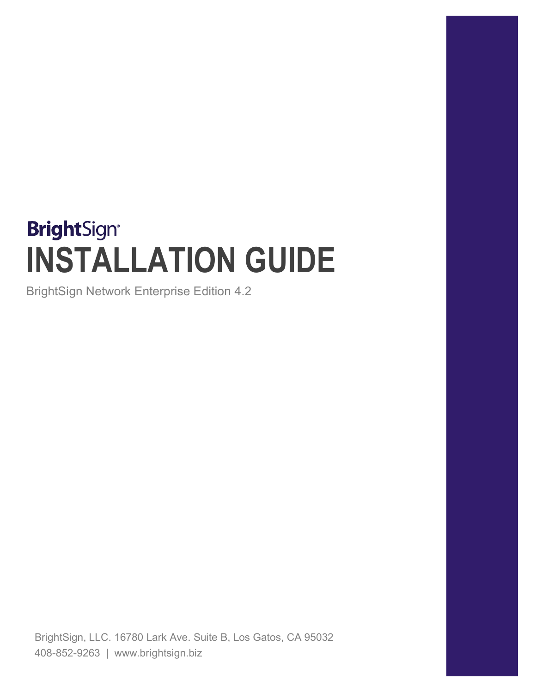# **BrightSign® INSTALLATION GUIDE**

BrightSign Network Enterprise Edition 4.2

BrightSign, LLC. 16780 Lark Ave. Suite B, Los Gatos, CA 95032 408-852-9263 | www.brightsign.biz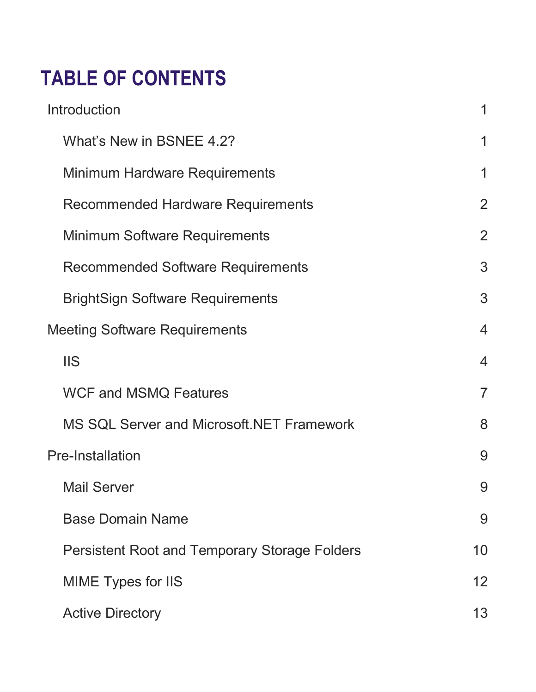# **TABLE OF CONTENTS**

| Introduction                                         | 1              |
|------------------------------------------------------|----------------|
| What's New in BSNEE 4.2?                             | 1              |
| Minimum Hardware Requirements                        | 1              |
| <b>Recommended Hardware Requirements</b>             | $\overline{2}$ |
| Minimum Software Requirements                        | $\overline{2}$ |
| Recommended Software Requirements                    | 3              |
| <b>BrightSign Software Requirements</b>              | 3              |
| <b>Meeting Software Requirements</b>                 | $\overline{4}$ |
| <b>IIS</b>                                           | $\overline{4}$ |
| <b>WCF and MSMQ Features</b>                         | $\overline{7}$ |
| MS SQL Server and Microsoft. NET Framework           | 8              |
| <b>Pre-Installation</b>                              | 9              |
| <b>Mail Server</b>                                   | 9              |
| <b>Base Domain Name</b>                              | 9              |
| <b>Persistent Root and Temporary Storage Folders</b> | 10             |
| <b>MIME Types for IIS</b>                            | 12             |
| <b>Active Directory</b>                              | 13             |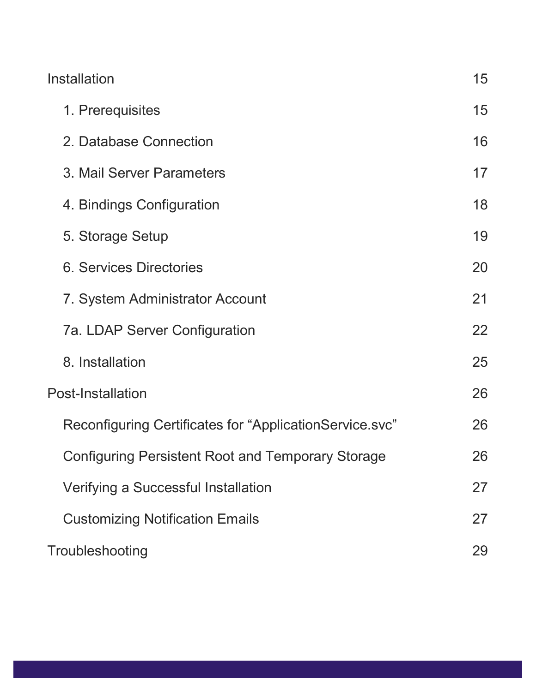| Installation                                             | 15 |
|----------------------------------------------------------|----|
| 1. Prerequisites                                         | 15 |
| 2. Database Connection                                   | 16 |
| 3. Mail Server Parameters                                | 17 |
| 4. Bindings Configuration                                | 18 |
| 5. Storage Setup                                         | 19 |
| <b>6. Services Directories</b>                           | 20 |
| 7. System Administrator Account                          | 21 |
| 7a. LDAP Server Configuration                            | 22 |
| 8. Installation                                          | 25 |
| <b>Post-Installation</b>                                 | 26 |
| Reconfiguring Certificates for "ApplicationService.svc"  | 26 |
| <b>Configuring Persistent Root and Temporary Storage</b> | 26 |
| Verifying a Successful Installation                      | 27 |
| <b>Customizing Notification Emails</b>                   | 27 |
| Troubleshooting                                          | 29 |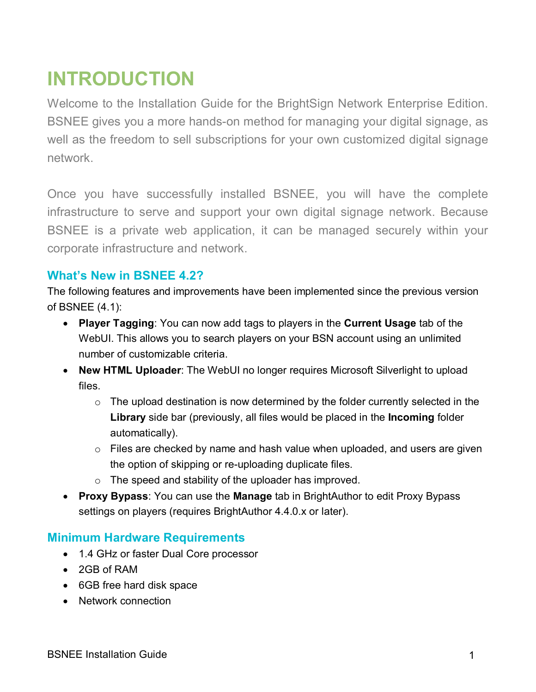# <span id="page-3-0"></span>**INTRODUCTION**

Welcome to the Installation Guide for the BrightSign Network Enterprise Edition. BSNEE gives you a more hands-on method for managing your digital signage, as well as the freedom to sell subscriptions for your own customized digital signage network.

Once you have successfully installed BSNEE, you will have the complete infrastructure to serve and support your own digital signage network. Because BSNEE is a private web application, it can be managed securely within your corporate infrastructure and network.

# <span id="page-3-1"></span>**What's New in BSNEE 4.2?**

The following features and improvements have been implemented since the previous version of BSNEE (4.1):

- **Player Tagging**: You can now add tags to players in the **Current Usage** tab of the WebUI. This allows you to search players on your BSN account using an unlimited number of customizable criteria.
- **New HTML Uploader**: The WebUI no longer requires Microsoft Silverlight to upload files.
	- $\circ$  The upload destination is now determined by the folder currently selected in the **Library** side bar (previously, all files would be placed in the **Incoming** folder automatically).
	- $\circ$  Files are checked by name and hash value when uploaded, and users are given the option of skipping or re-uploading duplicate files.
	- o The speed and stability of the uploader has improved.
- **Proxy Bypass**: You can use the **Manage** tab in BrightAuthor to edit Proxy Bypass settings on players (requires BrightAuthor 4.4.0.x or later).

# <span id="page-3-2"></span>**Minimum Hardware Requirements**

- 1.4 GHz or faster Dual Core processor
- 2GB of RAM
- 6GB free hard disk space
- Network connection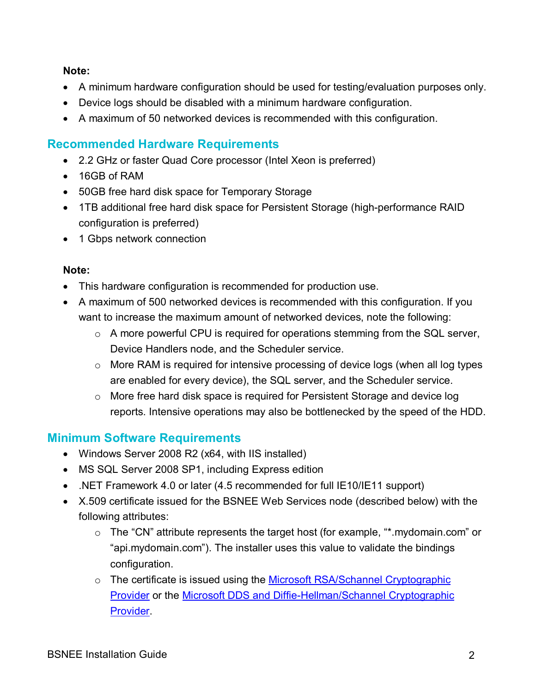#### **Note:**

- A minimum hardware configuration should be used for testing/evaluation purposes only.
- Device logs should be disabled with a minimum hardware configuration.
- A maximum of 50 networked devices is recommended with this configuration.

# <span id="page-4-0"></span>**Recommended Hardware Requirements**

- 2.2 GHz or faster Quad Core processor (Intel Xeon is preferred)
- 16GB of RAM
- 50GB free hard disk space for Temporary Storage
- 1TB additional free hard disk space for Persistent Storage (high-performance RAID configuration is preferred)
- 1 Gbps network connection

#### **Note:**

- This hardware configuration is recommended for production use.
- A maximum of 500 networked devices is recommended with this configuration. If you want to increase the maximum amount of networked devices, note the following:
	- o A more powerful CPU is required for operations stemming from the SQL server, Device Handlers node, and the Scheduler service.
	- o More RAM is required for intensive processing of device logs (when all log types are enabled for every device), the SQL server, and the Scheduler service.
	- $\circ$  More free hard disk space is required for Persistent Storage and device log reports. Intensive operations may also be bottlenecked by the speed of the HDD.

# <span id="page-4-1"></span>**Minimum Software Requirements**

- Windows Server 2008 R2 (x64, with IIS installed)
- MS SQL Server 2008 SP1, including Express edition
- .NET Framework 4.0 or later (4.5 recommended for full IE10/IE11 support)
- X.509 certificate issued for the BSNEE Web Services node (described below) with the following attributes:
	- o The "CN" attribute represents the target host (for example, "\*.mydomain.com" or "api.mydomain.com"). The installer uses this value to validate the bindings configuration.
	- o The certificate is issued using the Microsoft RSA/Schannel Cryptographic [Provider](https://msdn.microsoft.com/en-us/library/windows/desktop/aa386988(v=vs.85).aspx) or the [Microsoft DDS and Diffie-Hellman/Schannel Cryptographic](https://msdn.microsoft.com/en-us/library/windows/desktop/bb394802(v=vs.85).aspx)  [Provider.](https://msdn.microsoft.com/en-us/library/windows/desktop/bb394802(v=vs.85).aspx)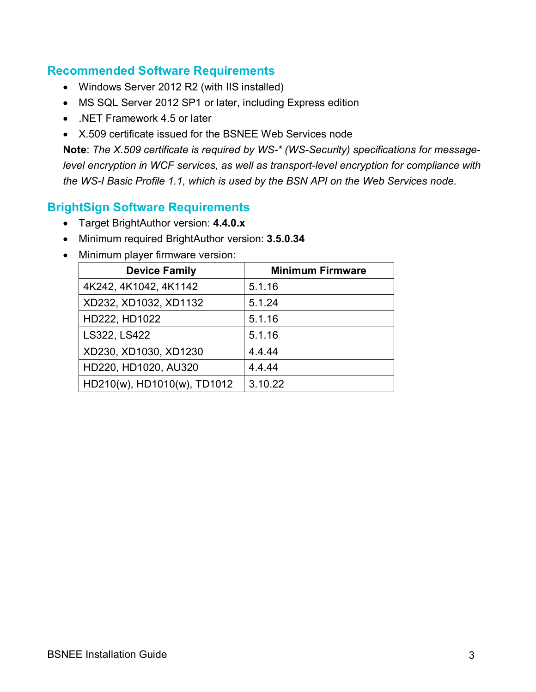### <span id="page-5-0"></span>**Recommended Software Requirements**

- Windows Server 2012 R2 (with IIS installed)
- MS SQL Server 2012 SP1 or later, including Express edition
- NET Framework 4.5 or later
- X.509 certificate issued for the BSNEE Web Services node

**Note**: *The X.509 certificate is required by WS-\* (WS-Security) specifications for messagelevel encryption in WCF services, as well as transport-level encryption for compliance with the WS-I Basic Profile 1.1, which is used by the BSN API on the Web Services node.*

# <span id="page-5-1"></span>**BrightSign Software Requirements**

- Target BrightAuthor version: **4.4.0.x**
- Minimum required BrightAuthor version: **3.5.0.34**
- Minimum player firmware version:

| <b>Device Family</b>        | <b>Minimum Firmware</b> |
|-----------------------------|-------------------------|
| 4K242, 4K1042, 4K1142       | 5.1.16                  |
| XD232, XD1032, XD1132       | 5.1.24                  |
| HD222, HD1022               | 5.1.16                  |
| LS322, LS422                | 5.1.16                  |
| XD230, XD1030, XD1230       | 4.4.44                  |
| HD220, HD1020, AU320        | 4.4.44                  |
| HD210(w), HD1010(w), TD1012 | 3.10.22                 |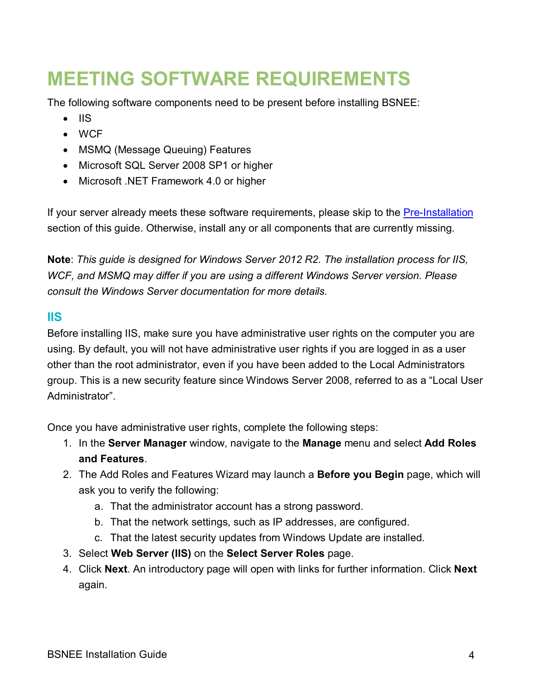# <span id="page-6-0"></span>**MEETING SOFTWARE REQUIREMENTS**

The following software components need to be present before installing BSNEE:

- IIS
- WCF
- MSMQ (Message Queuing) Features
- Microsoft SQL Server 2008 SP1 or higher
- Microsoft .NET Framework 4.0 or higher

If your server already meets these software requirements, please skip to the [Pre-Installation](#page-11-0) section of this guide. Otherwise, install any or all components that are currently missing.

**Note**: *This guide is designed for Windows Server 2012 R2. The installation process for IIS, WCF, and MSMQ may differ if you are using a different Windows Server version. Please consult the Windows Server documentation for more details.*

### <span id="page-6-1"></span>**IIS**

Before installing IIS, make sure you have administrative user rights on the computer you are using. By default, you will not have administrative user rights if you are logged in as a user other than the root administrator, even if you have been added to the Local Administrators group. This is a new security feature since Windows Server 2008, referred to as a "Local User Administrator".

Once you have administrative user rights, complete the following steps:

- 1. In the **Server Manager** window, navigate to the **Manage** menu and select **Add Roles and Features**.
- 2. The Add Roles and Features Wizard may launch a **Before you Begin** page, which will ask you to verify the following:
	- a. That the administrator account has a strong password.
	- b. That the network settings, such as IP addresses, are configured.
	- c. That the latest security updates from Windows Update are installed.
- 3. Select **Web Server (IIS)** on the **Select Server Roles** page.
- 4. Click **Next**. An introductory page will open with links for further information. Click **Next**  again.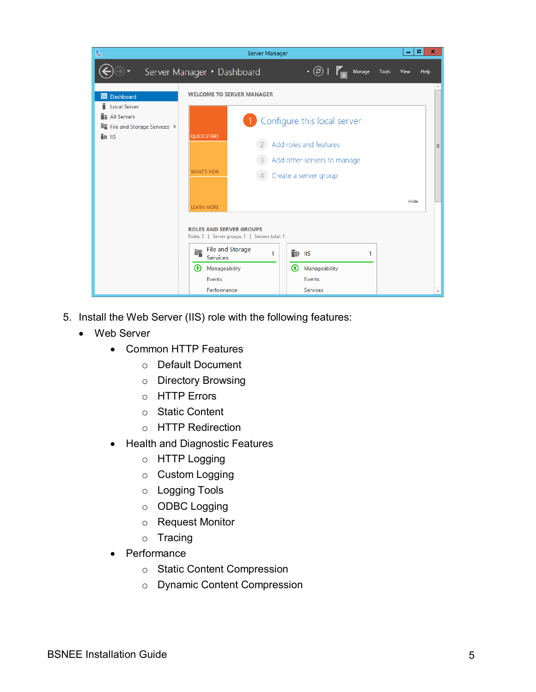| $\triangleright$                                                                | Server Manager                                                                                           | ۰<br>×       |
|---------------------------------------------------------------------------------|----------------------------------------------------------------------------------------------------------|--------------|
|                                                                                 | $\cdot \circledcirc$   $\mathsf{F}_{\mathsf{m}}$<br>Server Manager • Dashboard<br>Manage<br><b>Tools</b> | View<br>Help |
| <b>III</b> Dashboard                                                            | <b>WELCOME TO SERVER MANAGER</b>                                                                         |              |
| i<br><b>Local Server</b><br><b>E</b> All Servers<br>File and Storage Services D | Configure this local server                                                                              |              |
| TO IIS                                                                          | <b>QUICK START</b><br>Add roles and features<br>Add other servers to manage                              | $\equiv$     |
|                                                                                 | <b>WHAT'S NEW</b><br>Create a server group                                                               |              |
|                                                                                 | <b>LEARN MORE</b>                                                                                        | Hide         |
|                                                                                 | <b>ROLES AND SERVER GROUPS</b><br>Roles: 2   Server groups: 1   Servers total: 1                         |              |
|                                                                                 | File and Storage<br><b>IIS</b><br>1<br>1<br>$\mathbb{I}(\mathbb{C})$<br>Services                         |              |
|                                                                                 | ⊕<br>Manageability<br>⊕<br>Manageability                                                                 |              |
|                                                                                 | Events<br>Events<br>Performance<br><b>Services</b>                                                       |              |

- 5. Install the Web Server (IIS) role with the following features:
	- Web Server
		- Common HTTP Features
			- o Default Document
			- o Directory Browsing
			- o HTTP Errors
			- o Static Content
			- o HTTP Redirection
		- Health and Diagnostic Features
			- o HTTP Logging
			- o Custom Logging
			- o Logging Tools
			- o ODBC Logging
			- o Request Monitor
			- o Tracing
		- Performance
			- o Static Content Compression
			- o Dynamic Content Compression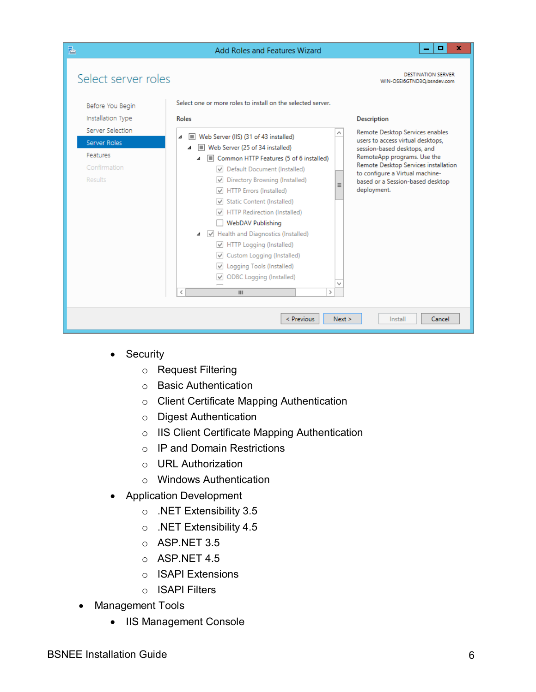| B                                                                                                                                       | Add Roles and Features Wizard                                                                                                                                                                                                                                                                                          | ×<br>o                                                                                                                                                                                                                                                                                                                                            |
|-----------------------------------------------------------------------------------------------------------------------------------------|------------------------------------------------------------------------------------------------------------------------------------------------------------------------------------------------------------------------------------------------------------------------------------------------------------------------|---------------------------------------------------------------------------------------------------------------------------------------------------------------------------------------------------------------------------------------------------------------------------------------------------------------------------------------------------|
| Select server roles<br>Before You Begin<br>Installation Type<br>Server Selection<br>Server Roles<br>Features<br>Confirmation<br>Results | Select one or more roles to install on the selected server.<br><b>Roles</b><br>Web Server (IIS) (31 of 43 installed)<br>шı<br>⊿<br>Web Server (25 of 34 installed)<br>⊿<br>Common HTTP Features (5 of 6 installed)<br>Default Document (Installed)<br>Directory Browsing (Installed)<br><b>HTTP Errors (Installed)</b> | <b>DESTINATION SERVER</b><br>WIN-OSEI6GTND3Q.bsndev.com<br><b>Description</b><br>Remote Desktop Services enables<br>users to access virtual desktops,<br>session-based desktops, and<br>RemoteApp programs. Use the<br>Remote Desktop Services installation<br>to configure a Virtual machine-<br>based or a Session-based desktop<br>deployment. |
|                                                                                                                                         | Static Content (Installed)<br><b>HTTP Redirection (Installed)</b><br><b>WebDAV Publishing</b><br>▲ √ Health and Diagnostics (Installed)<br>HTTP Logging (Installed)<br>Custom Logging (Installed)<br>Logging Tools (Installed)<br><b>ODBC</b> Logging (Installed)<br>$\rightarrow$<br>₹<br>Ш                           |                                                                                                                                                                                                                                                                                                                                                   |
|                                                                                                                                         | < Previous<br>Next >                                                                                                                                                                                                                                                                                                   | Install<br>Cancel                                                                                                                                                                                                                                                                                                                                 |

- Security
	- o Request Filtering
	- o Basic Authentication
	- o Client Certificate Mapping Authentication
	- o Digest Authentication
	- o IIS Client Certificate Mapping Authentication
	- o IP and Domain Restrictions
	- o URL Authorization
	- o Windows Authentication
- Application Development
	- o .NET Extensibility 3.5
	- o .NET Extensibility 4.5
	- o ASP.NET 3.5
	- o ASP.NET 4.5
	- o ISAPI Extensions
	- o ISAPI Filters
- Management Tools
	- IIS Management Console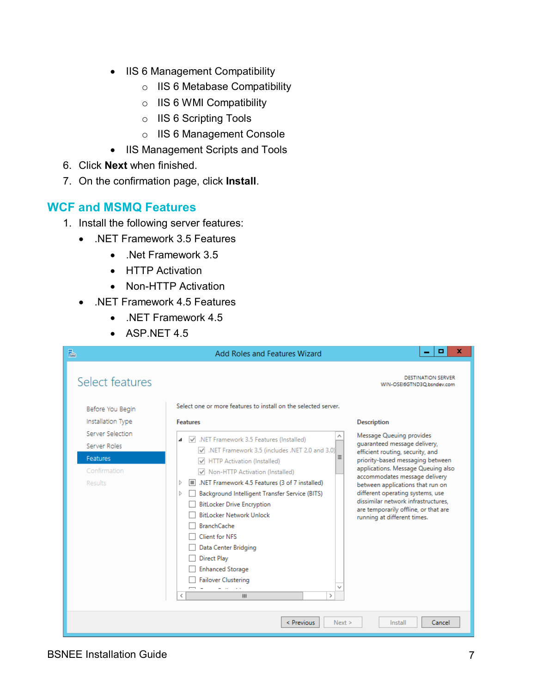- IIS 6 Management Compatibility
	- o IIS 6 Metabase Compatibility
	- o IIS 6 WMI Compatibility
	- o IIS 6 Scripting Tools
	- o IIS 6 Management Console
- IIS Management Scripts and Tools
- 6. Click **Next** when finished.
- 7. On the confirmation page, click **Install**.

### <span id="page-9-0"></span>**WCF and MSMQ Features**

- 1. Install the following server features:
	- .NET Framework 3.5 Features
		- .Net Framework 3.5
		- HTTP Activation
		- Non-HTTP Activation
	- .NET Framework 4.5 Features
		- .NET Framework 4.5
		- ASP.NET 4.5

| B                                                                                                                       | <b>Add Roles and Features Wizard</b>                                                                                                                                                                                                                                                                                                                                                                                                                                                                                              | o<br>x                                                                                                                                                                                                                                                                                                                                                                                                              |
|-------------------------------------------------------------------------------------------------------------------------|-----------------------------------------------------------------------------------------------------------------------------------------------------------------------------------------------------------------------------------------------------------------------------------------------------------------------------------------------------------------------------------------------------------------------------------------------------------------------------------------------------------------------------------|---------------------------------------------------------------------------------------------------------------------------------------------------------------------------------------------------------------------------------------------------------------------------------------------------------------------------------------------------------------------------------------------------------------------|
| Select features                                                                                                         |                                                                                                                                                                                                                                                                                                                                                                                                                                                                                                                                   | DESTINATION SERVER<br>WIN-OSEI6GTND3Q.bsndev.com                                                                                                                                                                                                                                                                                                                                                                    |
| Before You Begin<br>Installation Type<br>Server Selection<br>Server Roles<br><b>Features</b><br>Confirmation<br>Results | Select one or more features to install on the selected server.<br><b>Features</b><br>MET Framework 3.5 Features (Installed)<br>⊿<br>NET Framework 3.5 (includes .NET 2.0 and 3.0)<br>HTTP Activation (Installed)<br>Non-HTTP Activation (Installed)<br>I.NET Framework 4.5 Features (3 of 7 installed)<br>D<br>Background Intelligent Transfer Service (BITS)<br>D.<br><b>BitLocker Drive Encryption</b><br><b>BitLocker Network Unlock</b><br><b>BranchCache</b><br>Client for NES<br>Data Center Bridging<br><b>Direct Play</b> | <b>Description</b><br>Message Queuing provides<br>quaranteed message delivery,<br>efficient routing, security, and<br>priority-based messaging between<br>applications. Message Queuing also<br>accommodates message delivery<br>between applications that run on<br>different operating systems, use<br>dissimilar network infrastructures.<br>are temporarily offline, or that are<br>running at different times. |
|                                                                                                                         | <b>Enhanced Storage</b><br><b>Failover Clustering</b><br>$\mathcal{P}$<br>₹<br>Ш                                                                                                                                                                                                                                                                                                                                                                                                                                                  |                                                                                                                                                                                                                                                                                                                                                                                                                     |
|                                                                                                                         | < Previous<br>Next >                                                                                                                                                                                                                                                                                                                                                                                                                                                                                                              | Install<br>Cancel                                                                                                                                                                                                                                                                                                                                                                                                   |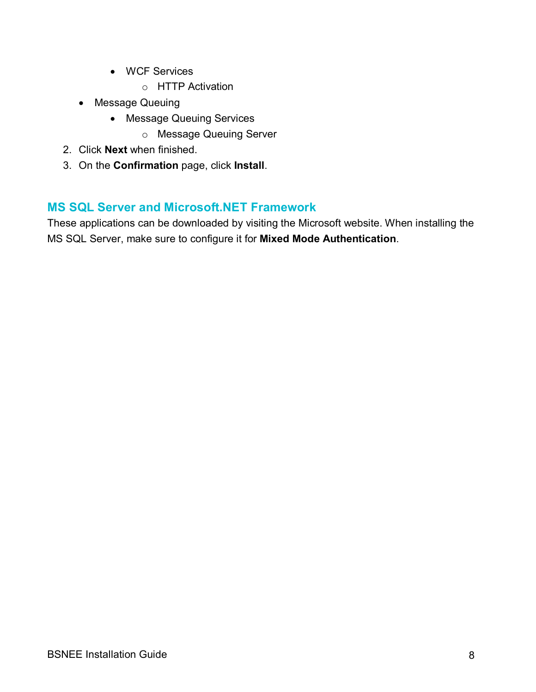- WCF Services
	- o HTTP Activation
- Message Queuing
	- Message Queuing Services
		- o Message Queuing Server
- 2. Click **Next** when finished.
- 3. On the **Confirmation** page, click **Install**.

# <span id="page-10-0"></span>**MS SQL Server and Microsoft.NET Framework**

These applications can be downloaded by visiting the Microsoft website. When installing the MS SQL Server, make sure to configure it for **Mixed Mode Authentication**.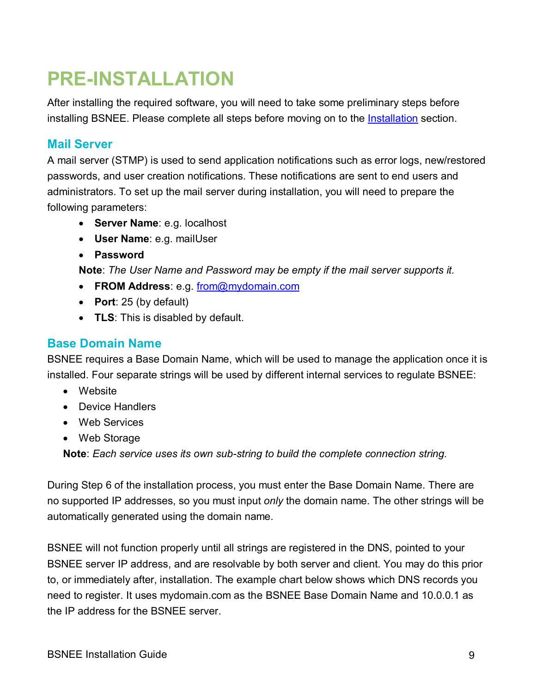# <span id="page-11-0"></span>**PRE-INSTALLATION**

After installing the required software, you will need to take some preliminary steps before installing BSNEE. Please complete all steps before moving on to the *Installation* section.

# <span id="page-11-1"></span>**Mail Server**

A mail server (STMP) is used to send application notifications such as error logs, new/restored passwords, and user creation notifications. These notifications are sent to end users and administrators. To set up the mail server during installation, you will need to prepare the following parameters:

- **Server Name**: e.g. localhost
- **User Name**: e.g. mailUser
- **Password**

**Note**: *The User Name and Password may be empty if the mail server supports it.*

- **FROM Address**: e.g. [from@mydomain.com](mailto:from@mydomain.com)
- **Port**: 25 (by default)
- **TLS**: This is disabled by default.

## <span id="page-11-2"></span>**Base Domain Name**

BSNEE requires a Base Domain Name, which will be used to manage the application once it is installed. Four separate strings will be used by different internal services to regulate BSNEE:

- Website
- Device Handlers
- Web Services
- Web Storage

**Note**: *Each service uses its own sub-string to build the complete connection string.*

During Step 6 of the installation process, you must enter the Base Domain Name. There are no supported IP addresses, so you must input *only* the domain name. The other strings will be automatically generated using the domain name.

BSNEE will not function properly until all strings are registered in the DNS, pointed to your BSNEE server IP address, and are resolvable by both server and client. You may do this prior to, or immediately after, installation. The example chart below shows which DNS records you need to register. It uses mydomain.com as the BSNEE Base Domain Name and 10.0.0.1 as the IP address for the BSNEE server.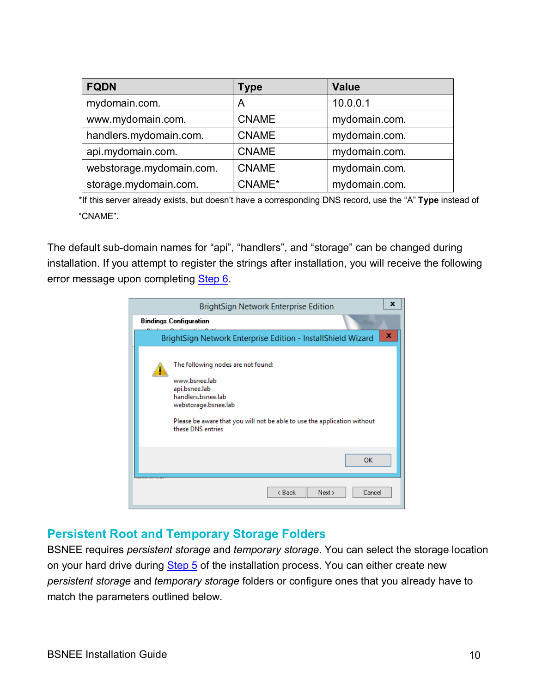| <b>FQDN</b>              | Type         | <b>Value</b>  |
|--------------------------|--------------|---------------|
| mydomain.com.            | A            | 10.0.0.1      |
| www.mydomain.com.        | <b>CNAME</b> | mydomain.com. |
| handlers.mydomain.com.   | <b>CNAME</b> | mydomain.com. |
| api.mydomain.com.        | <b>CNAME</b> | mydomain.com. |
| webstorage.mydomain.com. | <b>CNAME</b> | mydomain.com. |
| storage.mydomain.com.    | CNAME*       | mydomain.com. |

\*If this server already exists, but doesn't have a corresponding DNS record, use the "A" **Type** instead of "CNAME".

The default sub-domain names for "api", "handlers", and "storage" can be changed during installation. If you attempt to register the strings after installation, you will receive the following error message upon completing [Step 6.](#page-22-0)

| BrightSign Network Enterprise Edition                                                                                                                                                                               | x |
|---------------------------------------------------------------------------------------------------------------------------------------------------------------------------------------------------------------------|---|
| <b>Bindings Configuration</b>                                                                                                                                                                                       |   |
| BrightSign Network Enterprise Edition - InstallShield Wizard                                                                                                                                                        | x |
| The following nodes are not found:<br>www.bsnee.lab<br>api.bsnee.lab<br>handlers.bsnee.lab<br>webstorage.bsnee.lab<br>Please be aware that you will not be able to use the application without<br>these DNS entries |   |
| <b>OK</b>                                                                                                                                                                                                           |   |
| <b>Come in Belle</b><br>< Back<br>Cancel<br>Next >                                                                                                                                                                  |   |

#### <span id="page-12-0"></span>**Persistent Root and Temporary Storage Folders**

BSNEE requires *persistent storage* and *temporary storage*. You can select the storage location on your hard drive during [Step 5](#page-21-0) of the installation process. You can either create new *persistent storage* and *temporary storage* folders or configure ones that you already have to match the parameters outlined below.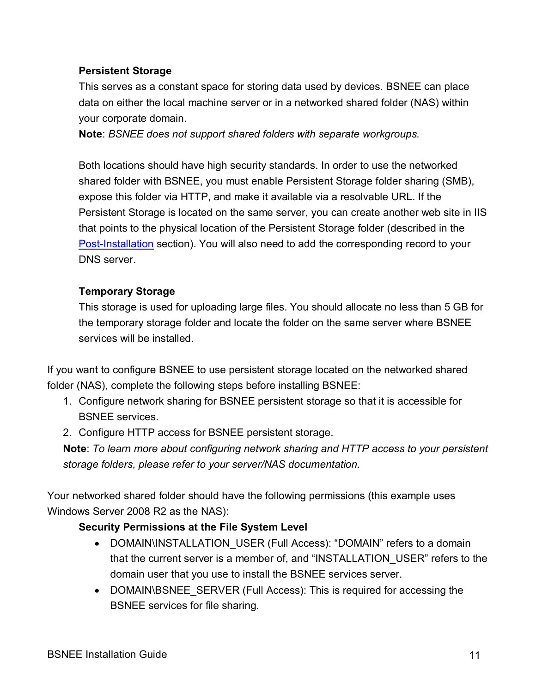#### **Persistent Storage**

This serves as a constant space for storing data used by devices. BSNEE can place data on either the local machine server or in a networked shared folder (NAS) within your corporate domain.

**Note**: *BSNEE does not support shared folders with separate workgroups.*

Both locations should have high security standards. In order to use the networked shared folder with BSNEE, you must enable Persistent Storage folder sharing (SMB), expose this folder via HTTP, and make it available via a resolvable URL. If the Persistent Storage is located on the same server, you can create another web site in IIS that points to the physical location of the Persistent Storage folder (described in the [Post-Installation](#page-28-0) section). You will also need to add the corresponding record to your DNS server.

#### **Temporary Storage**

This storage is used for uploading large files. You should allocate no less than 5 GB for the temporary storage folder and locate the folder on the same server where BSNEE services will be installed.

If you want to configure BSNEE to use persistent storage located on the networked shared folder (NAS), complete the following steps before installing BSNEE:

- 1. Configure network sharing for BSNEE persistent storage so that it is accessible for BSNEE services.
- 2. Configure HTTP access for BSNEE persistent storage.

**Note**: *To learn more about configuring network sharing and HTTP access to your persistent storage folders, please refer to your server/NAS documentation.*

<span id="page-13-0"></span>Your networked shared folder should have the following permissions (this example uses Windows Server 2008 R2 as the NAS):

#### **Security Permissions at the File System Level**

- DOMAIN\INSTALLATION USER (Full Access): "DOMAIN" refers to a domain that the current server is a member of, and "INSTALLATION\_USER" refers to the domain user that you use to install the BSNEE services server.
- DOMAIN\BSNEE\_SERVER (Full Access): This is required for accessing the BSNEE services for file sharing.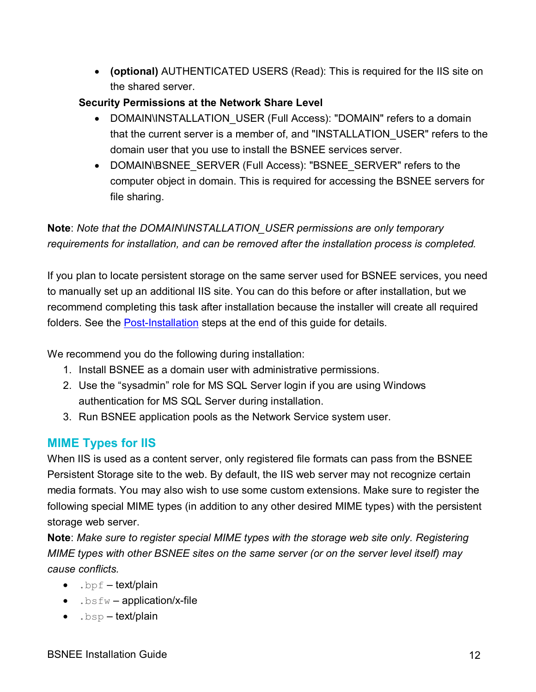• **(optional)** AUTHENTICATED USERS (Read): This is required for the IIS site on the shared server.

#### **Security Permissions at the Network Share Level**

- DOMAIN\INSTALLATION USER (Full Access): "DOMAIN" refers to a domain that the current server is a member of, and "INSTALLATION\_USER" refers to the domain user that you use to install the BSNEE services server.
- DOMAIN\BSNEE\_SERVER (Full Access): "BSNEE\_SERVER" refers to the computer object in domain. This is required for accessing the BSNEE servers for file sharing.

**Note**: *Note that the DOMAIN\INSTALLATION\_USER permissions are only temporary requirements for installation, and can be removed after the installation process is completed.*

If you plan to locate persistent storage on the same server used for BSNEE services, you need to manually set up an additional IIS site. You can do this before or after installation, but we recommend completing this task after installation because the installer will create all required folders. See the [Post-Installation](#page-28-1) steps at the end of this guide for details.

We recommend you do the following during installation:

- 1. Install BSNEE as a domain user with administrative permissions.
- 2. Use the "sysadmin" role for MS SQL Server login if you are using Windows authentication for MS SQL Server during installation.
- 3. Run BSNEE application pools as the Network Service system user.

# <span id="page-14-0"></span>**MIME Types for IIS**

When IIS is used as a content server, only registered file formats can pass from the BSNEE Persistent Storage site to the web. By default, the IIS web server may not recognize certain media formats. You may also wish to use some custom extensions. Make sure to register the following special MIME types (in addition to any other desired MIME types) with the persistent storage web server.

**Note**: *Make sure to register special MIME types with the storage web site only. Registering MIME types with other BSNEE sites on the same server (or on the server level itself) may cause conflicts.*

- $\bullet$  .  $bpf \textbf{text/plain}$
- $\bullet$  .  $bsfw$  application/x-file
- $\bullet$  .  $bsp \text{text/plain}$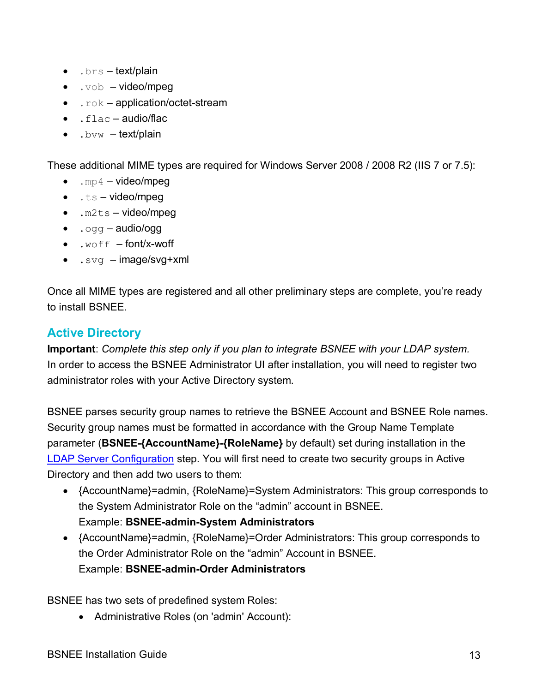- $\bullet$  .  $brs text/plain$
- $\bullet$  .  $\verb|vob video/mpeg|$
- $\bullet$  .  $\text{rok}-\text{application}/\text{octet-stream}$
- $\bullet$  . flac audio/flac
- $\bullet$  . bvw  $-\text{text/plain}$

These additional MIME types are required for Windows Server 2008 / 2008 R2 (IIS 7 or 7.5):

- $mp4 video/mpeq$
- $\bullet$  .ts video/mpeg
- $\bullet$  .  $m2ts video/mpeq$
- $.$ ogg audio/ogg
- $\bullet$  .  $\text{woff}$  font/x-woff
- $\bullet$  . svg image/svg+xml

Once all MIME types are registered and all other preliminary steps are complete, you're ready to install BSNEE.

# <span id="page-15-0"></span>**Active Directory**

**Important**: *Complete this step only if you plan to integrate BSNEE with your LDAP system.* In order to access the BSNEE Administrator UI after installation, you will need to register two administrator roles with your Active Directory system.

BSNEE parses security group names to retrieve the BSNEE Account and BSNEE Role names. Security group names must be formatted in accordance with the Group Name Template parameter (**BSNEE-{AccountName}-{RoleName}** by default) set during installation in the [LDAP Server Configuration](#page-24-0) step. You will first need to create two security groups in Active Directory and then add two users to them:

- {AccountName}=admin, {RoleName}=System Administrators: This group corresponds to the System Administrator Role on the "admin" account in BSNEE. Example: **BSNEE-admin-System Administrators**
- {AccountName}=admin, {RoleName}=Order Administrators: This group corresponds to the Order Administrator Role on the "admin" Account in BSNEE. Example: **BSNEE-admin-Order Administrators**

BSNEE has two sets of predefined system Roles:

• Administrative Roles (on 'admin' Account):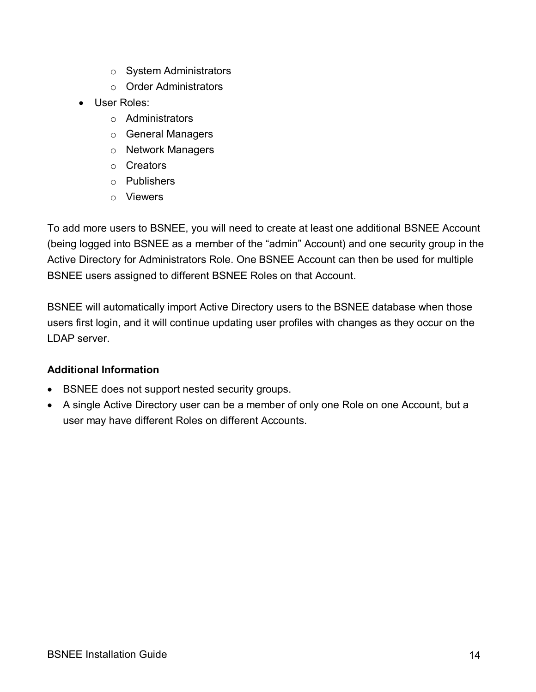- o System Administrators
- o Order Administrators
- User Roles:
	- o Administrators
	- o General Managers
	- o Network Managers
	- o Creators
	- o Publishers
	- o Viewers

To add more users to BSNEE, you will need to create at least one additional BSNEE Account (being logged into BSNEE as a member of the "admin" Account) and one security group in the Active Directory for Administrators Role. One BSNEE Account can then be used for multiple BSNEE users assigned to different BSNEE Roles on that Account.

BSNEE will automatically import Active Directory users to the BSNEE database when those users first login, and it will continue updating user profiles with changes as they occur on the LDAP server.

#### **Additional Information**

- BSNEE does not support nested security groups.
- A single Active Directory user can be a member of only one Role on one Account, but a user may have different Roles on different Accounts.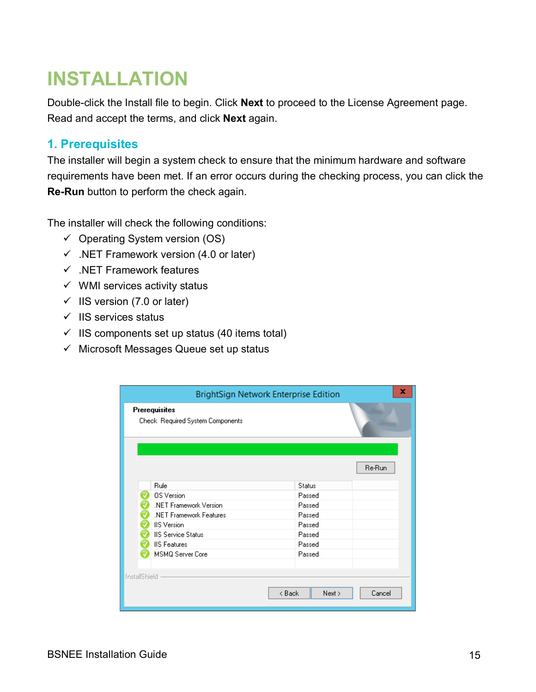# <span id="page-17-0"></span>**INSTALLATION**

Double-click the Install file to begin. Click **Next** to proceed to the License Agreement page. Read and accept the terms, and click **Next** again.

## <span id="page-17-1"></span>**1. Prerequisites**

The installer will begin a system check to ensure that the minimum hardware and software requirements have been met. If an error occurs during the checking process, you can click the **Re-Run** button to perform the check again.

The installer will check the following conditions:

- $\checkmark$  Operating System version (OS)
- $\checkmark$  .NET Framework version (4.0 or later)
- $\checkmark$  .NET Framework features
- $\checkmark$  WMI services activity status
- $\checkmark$  IIS version (7.0 or later)
- $\checkmark$  IIS services status
- $\checkmark$  IIS components set up status (40 items total)
- $\checkmark$  Microsoft Messages Queue set up status

|               | BrightSign Network Enterprise Edition                    |                | ×      |
|---------------|----------------------------------------------------------|----------------|--------|
|               | <b>Prerequisites</b><br>Check Required System Components |                |        |
|               |                                                          |                | Re-Run |
|               | Rule                                                     | <b>Status</b>  |        |
|               | <b>OS</b> Version                                        | Passed         |        |
|               | .NET Framework Version                                   | Passed         |        |
|               | .NET Framework Features                                  | Passed         |        |
|               | <b>IIS</b> Version                                       | Passed         |        |
|               | <b>IIS Service Status</b>                                | Passed         |        |
|               | <b>IIS Features</b>                                      | Passed         |        |
|               | MSMQ Server Core                                         | Passed         |        |
|               |                                                          |                |        |
| InstallShield |                                                          |                |        |
|               |                                                          | < Back<br>Next | Cancel |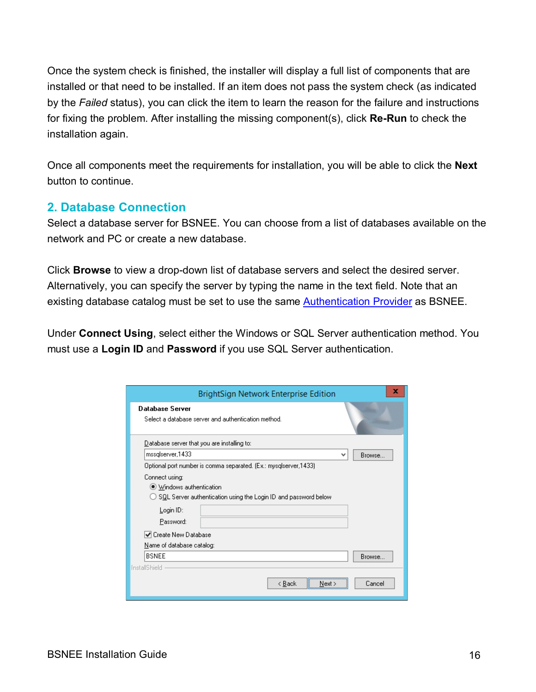Once the system check is finished, the installer will display a full list of components that are installed or that need to be installed. If an item does not pass the system check (as indicated by the *Failed* status), you can click the item to learn the reason for the failure and instructions for fixing the problem. After installing the missing component(s), click **Re-Run** to check the installation again.

Once all components meet the requirements for installation, you will be able to click the **Next**  button to continue.

#### <span id="page-18-0"></span>**2. Database Connection**

Select a database server for BSNEE. You can choose from a list of databases available on the network and PC or create a new database.

Click **Browse** to view a drop-down list of database servers and select the desired server. Alternatively, you can specify the server by typing the name in the text field. Note that an existing database catalog must be set to use the same **Authentication Provider** as BSNEE.

Under **Connect Using**, select either the Windows or SQL Server authentication method. You must use a **Login ID** and **Password** if you use SQL Server authentication.

| BrightSign Network Enterprise Edition                                                                         | x      |
|---------------------------------------------------------------------------------------------------------------|--------|
| <b>Database Server</b><br>Select a database server and authentication method.                                 |        |
| Database server that you are installing to:                                                                   |        |
| mssglserver, 1433<br>٧                                                                                        | Browse |
| Optional port number is comma separated. (Ex.: mysqlserver,1433).                                             |        |
| Connect using:<br>● Windows authentication<br>SQL Server authentication using the Login ID and password below |        |
| Login ID:                                                                                                     |        |
| Password:                                                                                                     |        |
| l✔ Create New Database                                                                                        |        |
| <u>N</u> ame of database catalog:                                                                             |        |
| <b>BSNEE</b>                                                                                                  | Browse |
| InstallShield                                                                                                 |        |
| < Back<br>Next >                                                                                              | Cancel |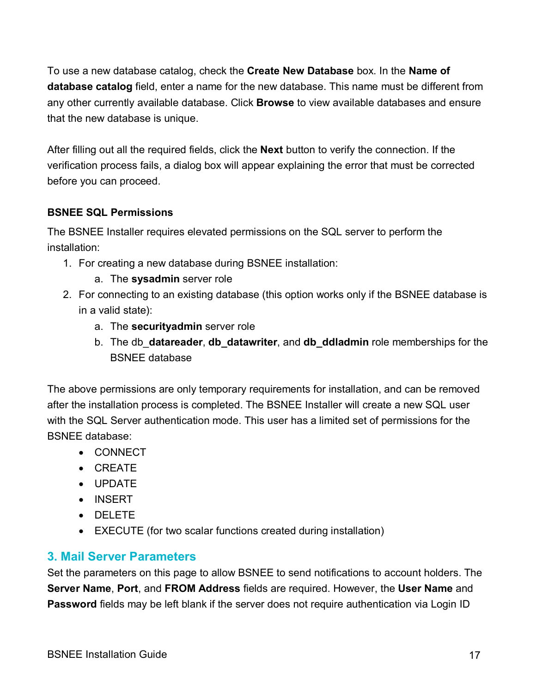To use a new database catalog, check the **Create New Database** box. In the **Name of database catalog** field, enter a name for the new database. This name must be different from any other currently available database. Click **Browse** to view available databases and ensure that the new database is unique.

After filling out all the required fields, click the **Next** button to verify the connection. If the verification process fails, a dialog box will appear explaining the error that must be corrected before you can proceed.

#### **BSNEE SQL Permissions**

The BSNEE Installer requires elevated permissions on the SQL server to perform the installation:

- 1. For creating a new database during BSNEE installation:
	- a. The **sysadmin** server role
- 2. For connecting to an existing database (this option works only if the BSNEE database is in a valid state):
	- a. The **securityadmin** server role
	- b. The db\_**datareader**, **db\_datawriter**, and **db\_ddladmin** role memberships for the BSNEE database

The above permissions are only temporary requirements for installation, and can be removed after the installation process is completed. The BSNEE Installer will create a new SQL user with the SQL Server authentication mode. This user has a limited set of permissions for the BSNEE database:

- CONNECT
- CREATE
- UPDATE
- INSERT
- DELETE
- EXECUTE (for two scalar functions created during installation)

# <span id="page-19-0"></span>**3. Mail Server Parameters**

Set the parameters on this page to allow BSNEE to send notifications to account holders. The **Server Name**, **Port**, and **FROM Address** fields are required. However, the **User Name** and **Password** fields may be left blank if the server does not require authentication via Login ID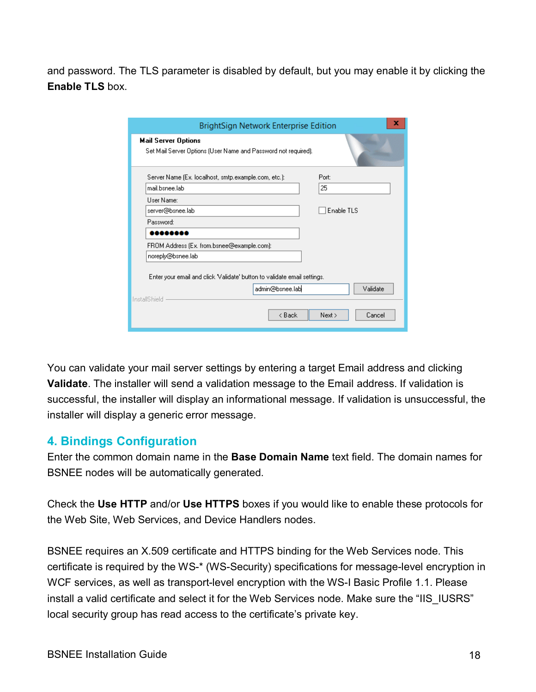and password. The TLS parameter is disabled by default, but you may enable it by clicking the **Enable TLS** box.

| BrightSign Network Enterprise Edition                                                        | x                |
|----------------------------------------------------------------------------------------------|------------------|
| <b>Mail Server Options</b><br>Set Mail Server Options (User Name and Password not required). |                  |
| Server Name (Ex. localhost, smtp.example.com, etc.):<br>mail.bsnee.lab<br>Liser Name:        | Port:<br>25      |
| server@bsnee.lab                                                                             | Enable TLS       |
| Password:<br>,,,,,,,,                                                                        |                  |
| FROM Address (Ex. from.bsnee@example.com):                                                   |                  |
| noreply@bsnee.lab                                                                            |                  |
| Enter your email and click "Validate" button to validate email settings.<br>admin@bsnee.lab  | Validate         |
| InstallShield<br>< Back                                                                      | Next ><br>Cancel |

You can validate your mail server settings by entering a target Email address and clicking **Validate**. The installer will send a validation message to the Email address. If validation is successful, the installer will display an informational message. If validation is unsuccessful, the installer will display a generic error message.

#### <span id="page-20-0"></span>**4. Bindings Configuration**

Enter the common domain name in the **Base Domain Name** text field. The domain names for BSNEE nodes will be automatically generated.

Check the **Use HTTP** and/or **Use HTTPS** boxes if you would like to enable these protocols for the Web Site, Web Services, and Device Handlers nodes.

BSNEE requires an X.509 certificate and HTTPS binding for the Web Services node. This certificate is required by the WS-\* (WS-Security) specifications for message-level encryption in WCF services, as well as transport-level encryption with the WS-I Basic Profile 1.1. Please install a valid certificate and select it for the Web Services node. Make sure the "IIS\_IUSRS" local security group has read access to the certificate's private key.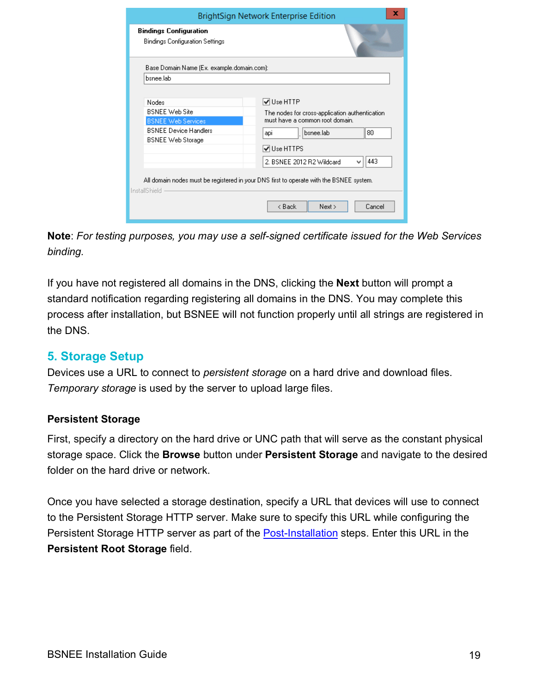|                                                                                                                         | x<br>BrightSign Network Enterprise Edition                                                                                                                                                        |
|-------------------------------------------------------------------------------------------------------------------------|---------------------------------------------------------------------------------------------------------------------------------------------------------------------------------------------------|
| <b>Bindings Configuration</b><br>Bindings Configuration Settings                                                        |                                                                                                                                                                                                   |
| Base Domain Name (Ex. example.domain.com):                                                                              |                                                                                                                                                                                                   |
| bsnee.lab                                                                                                               |                                                                                                                                                                                                   |
| Nodes<br><b>BSNEE Web Site</b><br><b>BSNEE Web Services</b><br><b>BSNEE Device Handlers</b><br><b>BSNEE</b> Web Storage | $\sqrt{ }$ Use HTTP<br>The nodes for cross-application authentication<br>must have a common root domain.<br>bsnee.lab<br>80<br>apı<br><b>√</b> Use HTTPS<br>443<br>2. BSNEE 2012 B2 Wildcard<br>v |
| InstallShield                                                                                                           | All domain nodes must be registered in your DNS first to operate with the BSNEE system.                                                                                                           |
|                                                                                                                         | < Back<br>Next<br>Cancel                                                                                                                                                                          |

**Note**: *For testing purposes, you may use a self-signed certificate issued for the Web Services binding.*

If you have not registered all domains in the DNS, clicking the **Next** button will prompt a standard notification regarding registering all domains in the DNS. You may complete this process after installation, but BSNEE will not function properly until all strings are registered in the DNS.

# <span id="page-21-0"></span>**5. Storage Setup**

Devices use a URL to connect to *persistent storage* on a hard drive and download files. *Temporary storage* is used by the server to upload large files.

#### **Persistent Storage**

First, specify a directory on the hard drive or UNC path that will serve as the constant physical storage space. Click the **Browse** button under **Persistent Storage** and navigate to the desired folder on the hard drive or network.

Once you have selected a storage destination, specify a URL that devices will use to connect to the Persistent Storage HTTP server. Make sure to specify this URL while configuring the Persistent Storage HTTP server as part of the [Post-Installation](#page-28-0) steps. Enter this URL in the **Persistent Root Storage** field.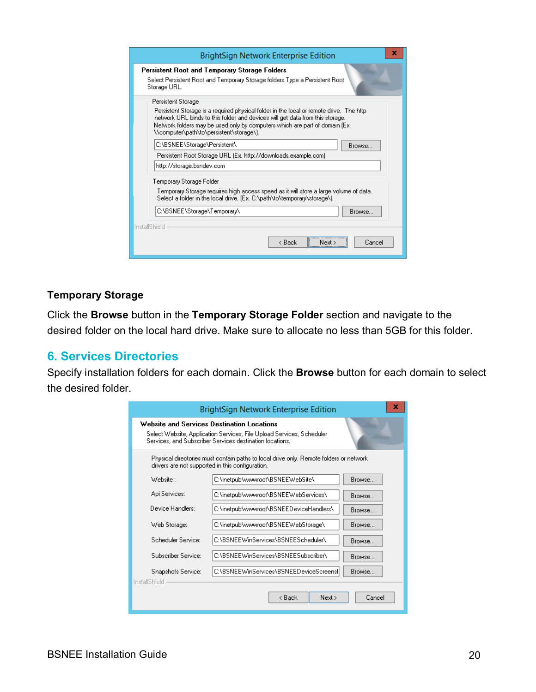| x<br><b>BrightSign Network Enterprise Edition</b>                                                                                                                                                                                                                                                   |  |  |  |
|-----------------------------------------------------------------------------------------------------------------------------------------------------------------------------------------------------------------------------------------------------------------------------------------------------|--|--|--|
| Persistent Root and Temporary Storage Folders<br>Select Persistent Root and Temporary Storage folders. Type a Persistent Root<br>Storage URL.                                                                                                                                                       |  |  |  |
| Persistent Storage                                                                                                                                                                                                                                                                                  |  |  |  |
| Persistent Storage is a required physical folder in the local or remote drive. The http<br>network URL binds to this folder and devices will get data from this storage.<br>Network folders may be used only by computers which are part of domain (Ex.<br>\\computer\path\to\persistent\storage\). |  |  |  |
| C:\BSNEE\Storage\Persistent\<br>Browse                                                                                                                                                                                                                                                              |  |  |  |
| Persistent Root Storage URL (Ex. http://downloads.example.com)                                                                                                                                                                                                                                      |  |  |  |
| http://storage.bsndev.com                                                                                                                                                                                                                                                                           |  |  |  |
| Temporary Storage Folder                                                                                                                                                                                                                                                                            |  |  |  |
| Temporary Storage requires high access speed as it will store a large volume of data.<br>Select a folder in the local drive. (Ex. C:\path\to\temporary\storage\).                                                                                                                                   |  |  |  |
| C:\BSNEE\Storage\Temporary\<br>Browse                                                                                                                                                                                                                                                               |  |  |  |
| InstallShield                                                                                                                                                                                                                                                                                       |  |  |  |
| < Back<br>Cancel                                                                                                                                                                                                                                                                                    |  |  |  |

#### **Temporary Storage**

Click the **Browse** button in the **Temporary Storage Folder** section and navigate to the desired folder on the local hard drive. Make sure to allocate no less than 5GB for this folder.

#### <span id="page-22-0"></span>**6. Services Directories**

Specify installation folders for each domain. Click the **Browse** button for each domain to select the desired folder.

|                                                                                                                                            | BrightSign Network Enterprise Edition                                                                                                                                           | x             |  |  |
|--------------------------------------------------------------------------------------------------------------------------------------------|---------------------------------------------------------------------------------------------------------------------------------------------------------------------------------|---------------|--|--|
|                                                                                                                                            | Website and Services Destination Locations<br>Select Website, Application Services, File Upload Services, Scheduler<br>Services, and Subscriber Services destination locations. |               |  |  |
| Physical directories must contain paths to local drive only. Remote folders or network<br>drivers are not supported in this configuration. |                                                                                                                                                                                 |               |  |  |
| Website :                                                                                                                                  | C:\inetpub\wwwroot\BSNEEWebSite\                                                                                                                                                | <b>Browse</b> |  |  |
| Api Services:                                                                                                                              | C:\inetpub\wwwroot\BSNEEWebServices\                                                                                                                                            | Browse        |  |  |
| Device Handlers:                                                                                                                           | C:\inetpub\wwwroot\BSNEEDeviceHandlers\                                                                                                                                         | Browse        |  |  |
| Web Storage:                                                                                                                               | C:\inetpub\wwwroot\BSNEEWebStorage\                                                                                                                                             | <b>Browse</b> |  |  |
| Scheduler Service:                                                                                                                         | C:\BSNEEWinServices\BSNEEScheduler\                                                                                                                                             | Browse        |  |  |
| Subscriber Service:                                                                                                                        | C:\BSNEEWinServices\BSNEESubscriber\                                                                                                                                            | Browse        |  |  |
| Snapshots Service:<br>InstallShield                                                                                                        | C:\BSNEEWinServices\BSNEEDeviceScreensl                                                                                                                                         | Browse        |  |  |
|                                                                                                                                            | < Back<br>Next                                                                                                                                                                  | Cancel        |  |  |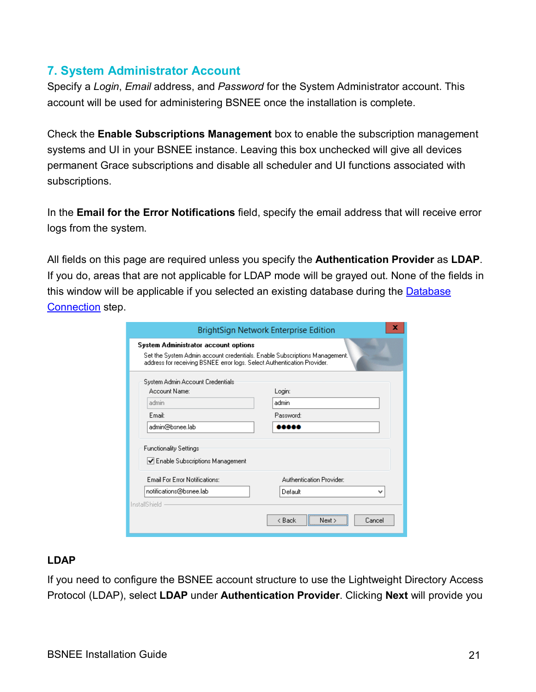# <span id="page-23-0"></span>**7. System Administrator Account**

Specify a *Login*, *Email* address, and *Password* for the System Administrator account. This account will be used for administering BSNEE once the installation is complete.

Check the **Enable Subscriptions Management** box to enable the subscription management systems and UI in your BSNEE instance. Leaving this box unchecked will give all devices permanent Grace subscriptions and disable all scheduler and UI functions associated with subscriptions.

In the **Email for the Error Notifications** field, specify the email address that will receive error logs from the system.

All fields on this page are required unless you specify the **Authentication Provider** as **LDAP**. If you do, areas that are not applicable for LDAP mode will be grayed out. None of the fields in this window will be applicable if you selected an existing database during the **Database** [Connection](#page-18-0) step.

<span id="page-23-1"></span>

|                                                                                                                                                                                               | x<br><b>BrightSign Network Enterprise Edition</b> |  |  |  |
|-----------------------------------------------------------------------------------------------------------------------------------------------------------------------------------------------|---------------------------------------------------|--|--|--|
| System Administrator account options<br>Set the System Admin account credentials. Enable Subscriptions Management.<br>address for receiving BSNEE error logs. Select Authentication Provider. |                                                   |  |  |  |
| System Admin Account Credentials<br>Account Name:                                                                                                                                             | Login:                                            |  |  |  |
| admin                                                                                                                                                                                         | admin                                             |  |  |  |
| E <sub>mail:</sub>                                                                                                                                                                            | Password:                                         |  |  |  |
| admin@bsnee.lab                                                                                                                                                                               |                                                   |  |  |  |
| <b>Functionality Settings</b><br>Enable Subscriptions Management                                                                                                                              |                                                   |  |  |  |
| Email For Error Notifications:                                                                                                                                                                | Authentication Provider:                          |  |  |  |
| notifications@bsnee.lab<br>InstallShield                                                                                                                                                      | Default<br>v                                      |  |  |  |
|                                                                                                                                                                                               | < Back<br>Cancel<br>Next >                        |  |  |  |

#### **LDAP**

If you need to configure the BSNEE account structure to use the Lightweight Directory Access Protocol (LDAP), select **LDAP** under **Authentication Provider**. Clicking **Next** will provide you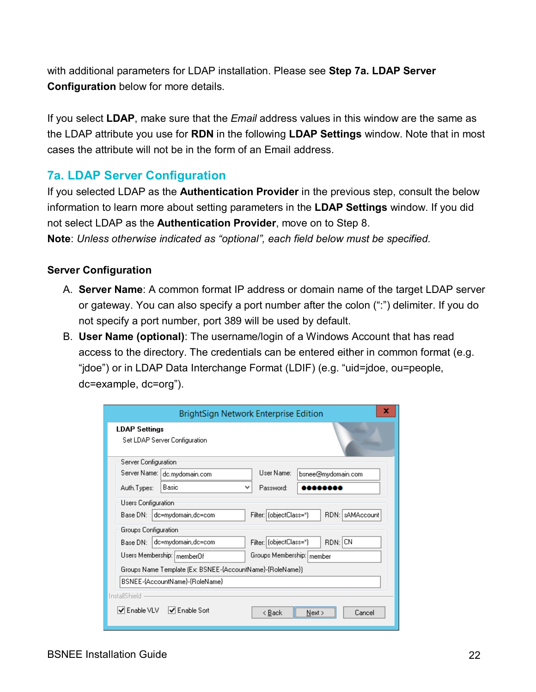with additional parameters for LDAP installation. Please see **Step 7a. LDAP Server Configuration** below for more details.

If you select **LDAP**, make sure that the *Email* address values in this window are the same as the LDAP attribute you use for **RDN** in the following **LDAP Settings** window. Note that in most cases the attribute will not be in the form of an Email address.

### <span id="page-24-0"></span>**7a. LDAP Server Configuration**

If you selected LDAP as the **Authentication Provider** in the previous step, consult the below information to learn more about setting parameters in the **LDAP Settings** window. If you did not select LDAP as the **Authentication Provider**, move on to Step 8. **Note**: *Unless otherwise indicated as "optional", each field below must be specified.*

#### **Server Configuration**

- A. **Server Name**: A common format IP address or domain name of the target LDAP server or gateway. You can also specify a port number after the colon (":") delimiter. If you do not specify a port number, port 389 will be used by default.
- B. **User Name (optional)**: The username/login of a Windows Account that has read access to the directory. The credentials can be entered either in common format (e.g. "jdoe") or in LDAP Data Interchange Format (LDIF) (e.g. "uid=jdoe, ou=people, dc=example, dc=org").

|                                                                      | x<br>BrightSign Network Enterprise Edition |  |  |
|----------------------------------------------------------------------|--------------------------------------------|--|--|
| <b>LDAP Settings</b><br>Set LDAP Server Configuration                |                                            |  |  |
| Server Configuration                                                 |                                            |  |  |
| Server Name:  <br>dc.mydomain.com                                    | User Name:<br>bsnee@mydomain.com           |  |  |
| Basic<br>Auth.Types:                                                 | Password:<br>v                             |  |  |
| Users Configuration                                                  |                                            |  |  |
| Base DN: 1<br>dc=mydomain,dc=com                                     | Filter: (objectClass=")<br>RDN: SAMAccount |  |  |
| Groups Configuration                                                 |                                            |  |  |
| Filter: (objectClass=")<br>RDN: CN<br>dc=mydomain,dc=com<br>Base DN: |                                            |  |  |
| Users Membership:   memberOf<br>Groups Membership: member            |                                            |  |  |
| Groups Name Template (Ex: BSNEE-{AccountName}-{RoleName})            |                                            |  |  |
| BSNEE-{AccountName}-{RoleName}                                       |                                            |  |  |
| InstallShield                                                        |                                            |  |  |
| $\blacktriangledown$ Enable VLV<br><b>√</b> Enable Sort              | Cancel<br>< Back<br>Next >                 |  |  |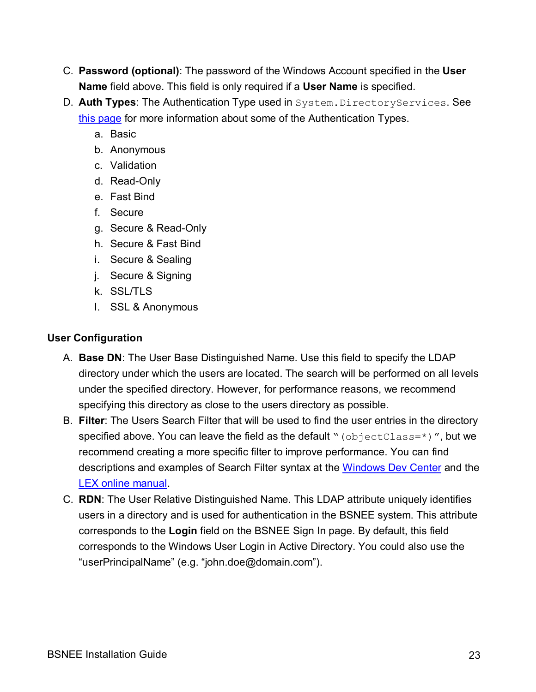- C. **Password (optional)**: The password of the Windows Account specified in the **User Name** field above. This field is only required if a **User Name** is specified.
- D. **Auth Types**: The Authentication Type used in System.DirectoryServices. See [this page](http://msdn.microsoft.com/en-us/library/system.directoryservices.authenticationtypes%28v=vs.100%29) for more information about some of the Authentication Types.
	- a. Basic
	- b. Anonymous
	- c. Validation
	- d. Read-Only
	- e. Fast Bind
	- f. Secure
	- g. Secure & Read-Only
	- h. Secure & Fast Bind
	- i. Secure & Sealing
	- j. Secure & Signing
	- k. SSL/TLS
	- l. SSL & Anonymous

#### **User Configuration**

- A. **Base DN**: The User Base Distinguished Name. Use this field to specify the LDAP directory under which the users are located. The search will be performed on all levels under the specified directory. However, for performance reasons, we recommend specifying this directory as close to the users directory as possible.
- B. **Filter**: The Users Search Filter that will be used to find the user entries in the directory specified above. You can leave the field as the default " $(objectClass=*)$ ", but we recommend creating a more specific filter to improve performance. You can find descriptions and examples of Search Filter syntax at the [Windows Dev Center](http://msdn.microsoft.com/en-us/library/windows/desktop/aa746475%28v=vs.85%29.aspx) and the [LEX online manual.](http://www.ldapexplorer.com/en/manual/109010000-ldap-filter-syntax.htm)
- C. **RDN**: The User Relative Distinguished Name. This LDAP attribute uniquely identifies users in a directory and is used for authentication in the BSNEE system. This attribute corresponds to the **Login** field on the BSNEE Sign In page. By default, this field corresponds to the Windows User Login in Active Directory. You could also use the "userPrincipalName" (e.g. "john.doe@domain.com").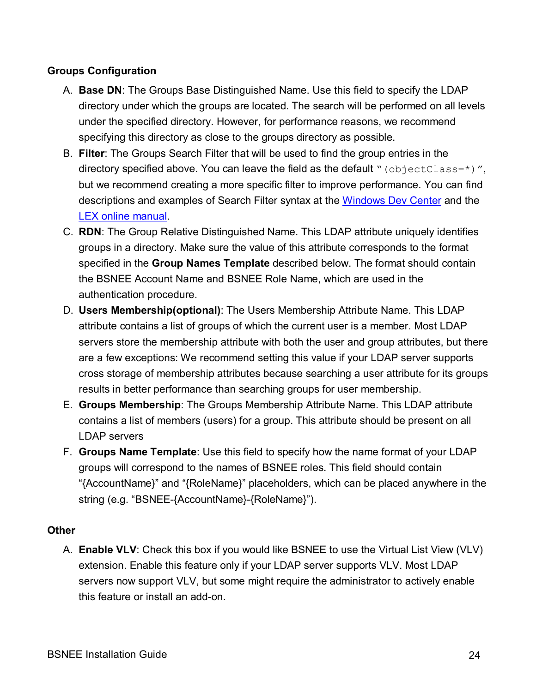#### **Groups Configuration**

- A. **Base DN**: The Groups Base Distinguished Name. Use this field to specify the LDAP directory under which the groups are located. The search will be performed on all levels under the specified directory. However, for performance reasons, we recommend specifying this directory as close to the groups directory as possible.
- B. **Filter**: The Groups Search Filter that will be used to find the group entries in the directory specified above. You can leave the field as the default " $(objectClass=*)$ ", but we recommend creating a more specific filter to improve performance. You can find descriptions and examples of Search Filter syntax at the [Windows Dev Center](http://msdn.microsoft.com/en-us/library/windows/desktop/aa746475%28v=vs.85%29.aspx) and the [LEX online manual.](http://www.ldapexplorer.com/en/manual/109010000-ldap-filter-syntax.htm)
- C. **RDN**: The Group Relative Distinguished Name. This LDAP attribute uniquely identifies groups in a directory. Make sure the value of this attribute corresponds to the format specified in the **Group Names Template** described below. The format should contain the BSNEE Account Name and BSNEE Role Name, which are used in the authentication procedure.
- D. **Users Membership(optional)**: The Users Membership Attribute Name. This LDAP attribute contains a list of groups of which the current user is a member. Most LDAP servers store the membership attribute with both the user and group attributes, but there are a few exceptions: We recommend setting this value if your LDAP server supports cross storage of membership attributes because searching a user attribute for its groups results in better performance than searching groups for user membership.
- E. **Groups Membership**: The Groups Membership Attribute Name. This LDAP attribute contains a list of members (users) for a group. This attribute should be present on all LDAP servers
- F. **Groups Name Template**: Use this field to specify how the name format of your LDAP groups will correspond to the names of BSNEE roles. This field should contain "{AccountName}" and "{RoleName}" placeholders, which can be placed anywhere in the string (e.g. "BSNEE-{AccountName}-{RoleName}").

#### **Other**

A. **Enable VLV**: Check this box if you would like BSNEE to use the Virtual List View (VLV) extension. Enable this feature only if your LDAP server supports VLV. Most LDAP servers now support VLV, but some might require the administrator to actively enable this feature or install an add-on.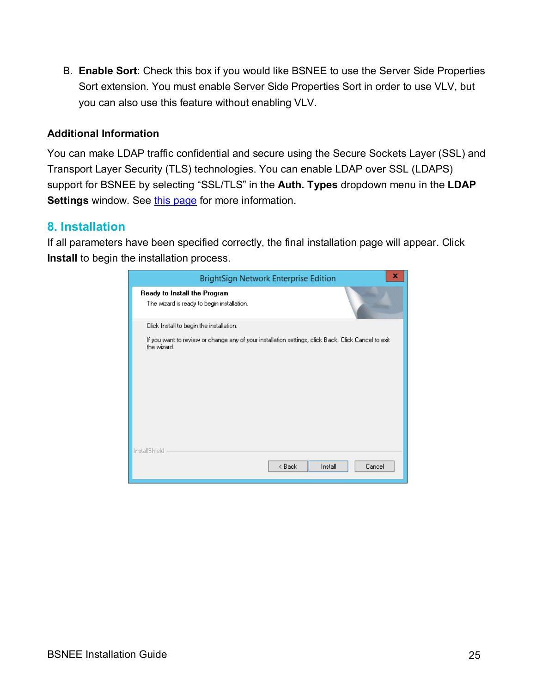B. **Enable Sort**: Check this box if you would like BSNEE to use the Server Side Properties Sort extension. You must enable Server Side Properties Sort in order to use VLV, but you can also use this feature without enabling VLV.

#### **Additional Information**

You can make LDAP traffic confidential and secure using the Secure Sockets Layer (SSL) and Transport Layer Security (TLS) technologies. You can enable LDAP over SSL (LDAPS) support for BSNEE by selecting "SSL/TLS" in the **Auth. Types** dropdown menu in the **LDAP Settings** window. See [this page](http://support2.microsoft.com/kb/321051) for more information.

#### <span id="page-27-0"></span>**8. Installation**

If all parameters have been specified correctly, the final installation page will appear. Click **Install** to begin the installation process.

| x<br>BrightSign Network Enterprise Edition                                                                         |  |  |
|--------------------------------------------------------------------------------------------------------------------|--|--|
| Ready to Install the Program<br>The wizard is ready to begin installation.                                         |  |  |
| Click Install to begin the installation.                                                                           |  |  |
| If you want to review or change any of your installation settings, click Back. Click Cancel to exit<br>the wizard. |  |  |
|                                                                                                                    |  |  |
|                                                                                                                    |  |  |
|                                                                                                                    |  |  |
|                                                                                                                    |  |  |
| InstallShield                                                                                                      |  |  |
| < Back<br>Install<br>Cancel                                                                                        |  |  |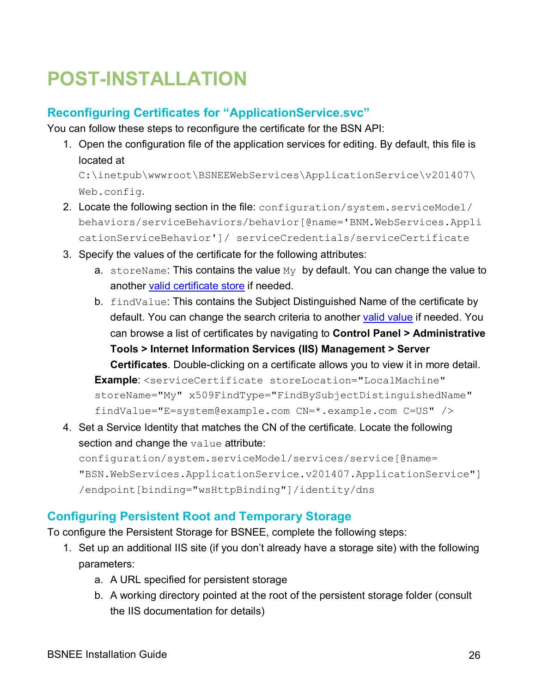# <span id="page-28-0"></span>**POST-INSTALLATION**

## <span id="page-28-1"></span>**Reconfiguring Certificates for "ApplicationService.svc"**

You can follow these steps to reconfigure the certificate for the BSN API:

1. Open the configuration file of the application services for editing. By default, this file is located at

C:\inetpub\wwwroot\BSNEEWebServices\ApplicationService\v201407\ Web.config.

- 2. Locate the following section in the file: configuration/system.serviceModel/ behaviors/serviceBehaviors/behavior[@name='BNM.WebServices.Appli cationServiceBehavior']/ serviceCredentials/serviceCertificate
- 3. Specify the values of the certificate for the following attributes:
	- a. storeName: This contains the value  $My$  by default. You can change the value to another [valid certificate store](http://msdn.microsoft.com/en-us/library/ms731340%28v=vs.100%29.aspx) if needed.
	- b. findValue: This contains the Subject Distinguished Name of the certificate by default. You can change the search criteria to another [valid value](http://msdn.microsoft.com/en-us/library/ms731340%28v=vs.100%29.aspx) if needed. You can browse a list of certificates by navigating to **Control Panel > Administrative Tools > Internet Information Services (IIS) Management > Server Certificates**. Double-clicking on a certificate allows you to view it in more detail. **Example**: <serviceCertificate storeLocation="LocalMachine" storeName="My" x509FindType="FindBySubjectDistinguishedName" findValue="E=system@example.com CN=\*.example.com C=US" />
- 4. Set a Service Identity that matches the CN of the certificate. Locate the following section and change the value attribute:

configuration/system.serviceModel/services/service[@name= "BSN.WebServices.ApplicationService.v201407.ApplicationService"] /endpoint[binding="wsHttpBinding"]/identity/dns

# <span id="page-28-2"></span>**Configuring Persistent Root and Temporary Storage**

To configure the Persistent Storage for BSNEE, complete the following steps:

- 1. Set up an additional IIS site (if you don't already have a storage site) with the following parameters:
	- a. A URL specified for persistent storage
	- b. A working directory pointed at the root of the persistent storage folder (consult the IIS documentation for details)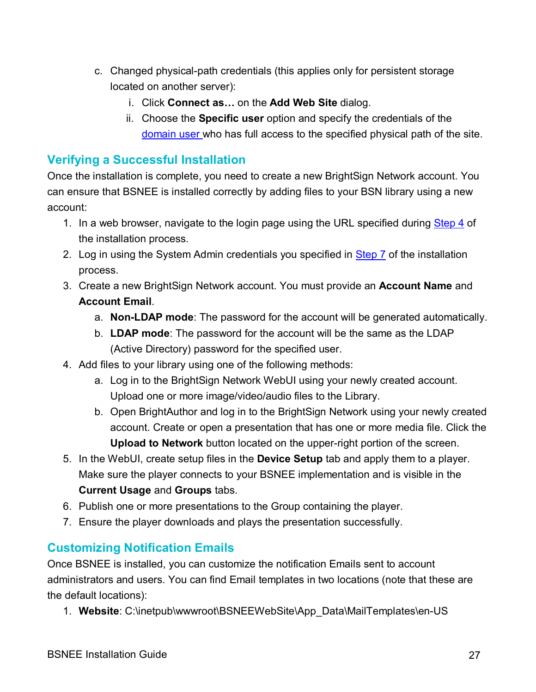- c. Changed physical-path credentials (this applies only for persistent storage located on another server):
	- i. Click **Connect as…** on the **Add Web Site** dialog.
	- ii. Choose the **Specific user** option and specify the credentials of the [domain user](#page-13-0) who has full access to the specified physical path of the site.

### <span id="page-29-0"></span>**Verifying a Successful Installation**

Once the installation is complete, you need to create a new BrightSign Network account. You can ensure that BSNEE is installed correctly by adding files to your BSN library using a new account:

- 1. In a web browser, navigate to the login page using the URL specified during [Step 4](#page-20-0) of the installation process.
- 2. Log in using the System Admin credentials you specified in [Step 7](#page-23-0) of the installation process.
- 3. Create a new BrightSign Network account. You must provide an **Account Name** and **Account Email**.
	- a. **Non-LDAP mode**: The password for the account will be generated automatically.
	- b. **LDAP mode**: The password for the account will be the same as the LDAP (Active Directory) password for the specified user.
- 4. Add files to your library using one of the following methods:
	- a. Log in to the BrightSign Network WebUI using your newly created account. Upload one or more image/video/audio files to the Library.
	- b. Open BrightAuthor and log in to the BrightSign Network using your newly created account. Create or open a presentation that has one or more media file. Click the **Upload to Network** button located on the upper-right portion of the screen.
- 5. In the WebUI, create setup files in the **Device Setup** tab and apply them to a player. Make sure the player connects to your BSNEE implementation and is visible in the **Current Usage** and **Groups** tabs.
- 6. Publish one or more presentations to the Group containing the player.
- 7. Ensure the player downloads and plays the presentation successfully.

#### <span id="page-29-1"></span>**Customizing Notification Emails**

Once BSNEE is installed, you can customize the notification Emails sent to account administrators and users. You can find Email templates in two locations (note that these are the default locations):

1. **Website**: C:\inetpub\wwwroot\BSNEEWebSite\App\_Data\MailTemplates\en-US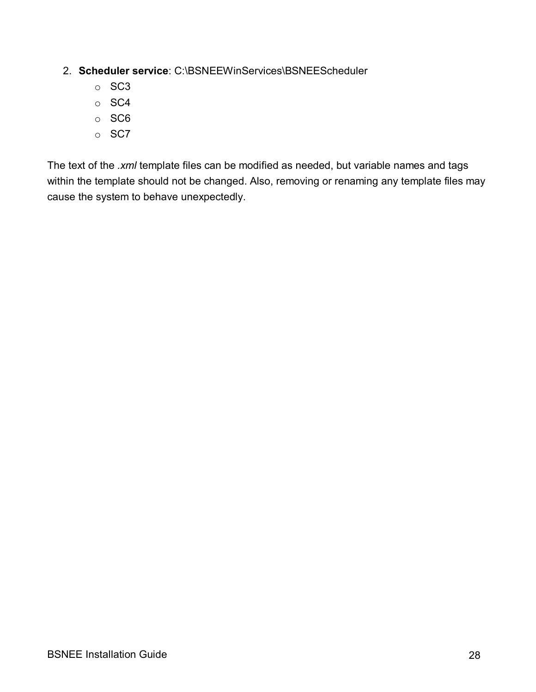#### 2. **Scheduler service**: C:\BSNEEWinServices\BSNEEScheduler

- o SC3
- o SC4
- o SC6
- o SC7

The text of the *.xml* template files can be modified as needed, but variable names and tags within the template should not be changed. Also, removing or renaming any template files may cause the system to behave unexpectedly.